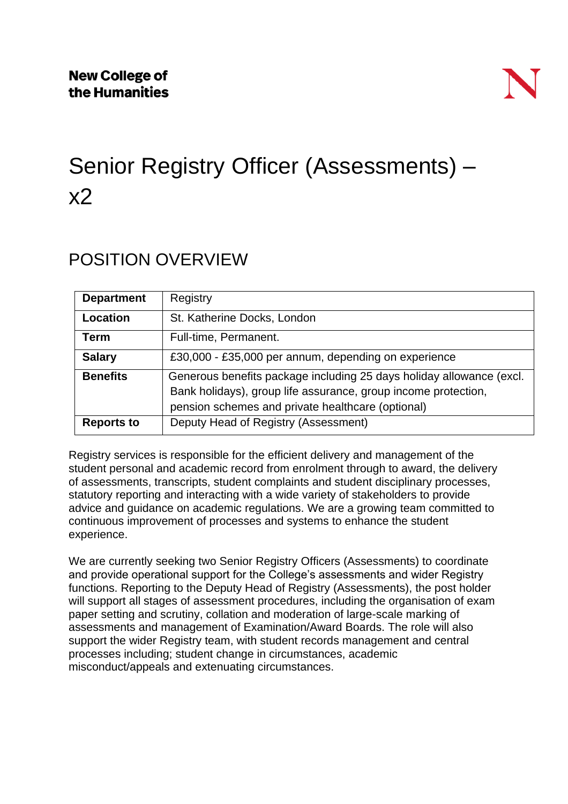

# Senior Registry Officer (Assessments) –  $x<sub>2</sub>$

### POSITION OVERVIEW

| <b>Department</b> | Registry                                                                                                                                                                                    |
|-------------------|---------------------------------------------------------------------------------------------------------------------------------------------------------------------------------------------|
| Location          | St. Katherine Docks, London                                                                                                                                                                 |
| <b>Term</b>       | Full-time, Permanent.                                                                                                                                                                       |
| <b>Salary</b>     | £30,000 - £35,000 per annum, depending on experience                                                                                                                                        |
| <b>Benefits</b>   | Generous benefits package including 25 days holiday allowance (excl.<br>Bank holidays), group life assurance, group income protection,<br>pension schemes and private healthcare (optional) |
| <b>Reports to</b> | Deputy Head of Registry (Assessment)                                                                                                                                                        |

Registry services is responsible for the efficient delivery and management of the student personal and academic record from enrolment through to award, the delivery of assessments, transcripts, student complaints and student disciplinary processes, statutory reporting and interacting with a wide variety of stakeholders to provide advice and guidance on academic regulations. We are a growing team committed to continuous improvement of processes and systems to enhance the student experience.

We are currently seeking two Senior Registry Officers (Assessments) to coordinate and provide operational support for the College's assessments and wider Registry functions. Reporting to the Deputy Head of Registry (Assessments), the post holder will support all stages of assessment procedures, including the organisation of exam paper setting and scrutiny, collation and moderation of large-scale marking of assessments and management of Examination/Award Boards. The role will also support the wider Registry team, with student records management and central processes including; student change in circumstances, academic misconduct/appeals and extenuating circumstances.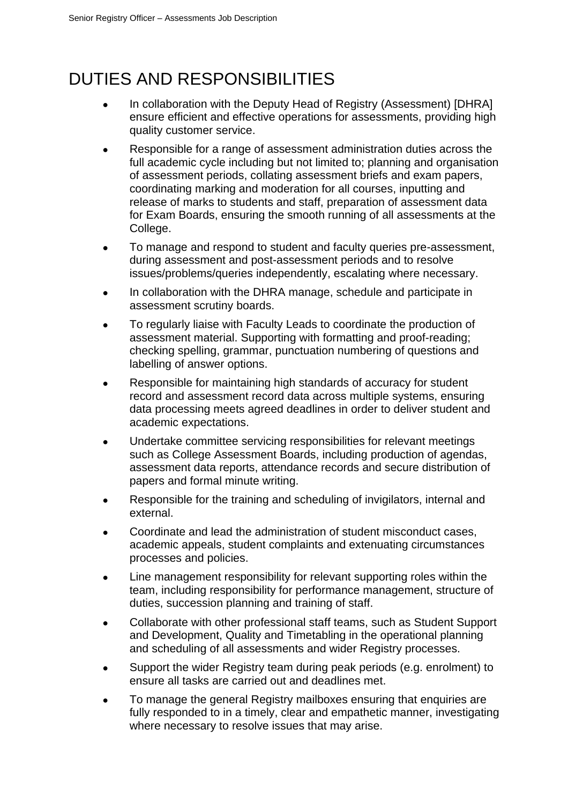## DUTIES AND RESPONSIBILITIES

- In collaboration with the Deputy Head of Registry (Assessment) [DHRA] ensure efficient and effective operations for assessments, providing high quality customer service.
- Responsible for a range of assessment administration duties across the full academic cycle including but not limited to; planning and organisation of assessment periods, collating assessment briefs and exam papers, coordinating marking and moderation for all courses, inputting and release of marks to students and staff, preparation of assessment data for Exam Boards, ensuring the smooth running of all assessments at the College.
- To manage and respond to student and faculty queries pre-assessment, during assessment and post-assessment periods and to resolve issues/problems/queries independently, escalating where necessary.
- In collaboration with the DHRA manage, schedule and participate in assessment scrutiny boards.
- To regularly liaise with Faculty Leads to coordinate the production of assessment material. Supporting with formatting and proof-reading; checking spelling, grammar, punctuation numbering of questions and labelling of answer options.
- Responsible for maintaining high standards of accuracy for student record and assessment record data across multiple systems, ensuring data processing meets agreed deadlines in order to deliver student and academic expectations.
- Undertake committee servicing responsibilities for relevant meetings such as College Assessment Boards, including production of agendas, assessment data reports, attendance records and secure distribution of papers and formal minute writing.
- Responsible for the training and scheduling of invigilators, internal and external.
- Coordinate and lead the administration of student misconduct cases, academic appeals, student complaints and extenuating circumstances processes and policies.
- Line management responsibility for relevant supporting roles within the team, including responsibility for performance management, structure of duties, succession planning and training of staff.
- Collaborate with other professional staff teams, such as Student Support and Development, Quality and Timetabling in the operational planning and scheduling of all assessments and wider Registry processes.
- Support the wider Registry team during peak periods (e.g. enrolment) to ensure all tasks are carried out and deadlines met.
- To manage the general Registry mailboxes ensuring that enquiries are fully responded to in a timely, clear and empathetic manner, investigating where necessary to resolve issues that may arise.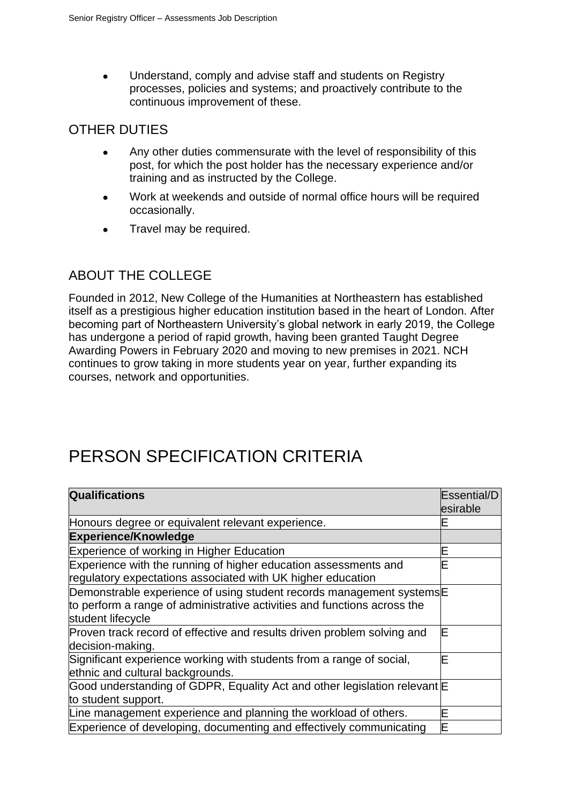• Understand, comply and advise staff and students on Registry processes, policies and systems; and proactively contribute to the continuous improvement of these.

### OTHER DUTIES

- Any other duties commensurate with the level of responsibility of this post, for which the post holder has the necessary experience and/or training and as instructed by the College.
- Work at weekends and outside of normal office hours will be required occasionally.
- Travel may be required.

#### ABOUT THE COLLEGE

Founded in 2012, New College of the Humanities at Northeastern has established itself as a prestigious higher education institution based in the heart of London. After becoming part of Northeastern University's global network in early 2019, the College has undergone a period of rapid growth, having been granted Taught Degree Awarding Powers in February 2020 and moving to new premises in 2021. NCH continues to grow taking in more students year on year, further expanding its courses, network and opportunities.

### PERSON SPECIFICATION CRITERIA

| <b>Qualifications</b>                                                                                                                                                             | Essential/D<br>esirable |  |
|-----------------------------------------------------------------------------------------------------------------------------------------------------------------------------------|-------------------------|--|
| Honours degree or equivalent relevant experience.                                                                                                                                 |                         |  |
| <b>Experience/Knowledge</b>                                                                                                                                                       |                         |  |
| Experience of working in Higher Education                                                                                                                                         |                         |  |
| Experience with the running of higher education assessments and<br>regulatory expectations associated with UK higher education                                                    |                         |  |
| Demonstrable experience of using student records management systems <sup>E</sup><br>to perform a range of administrative activities and functions across the<br>student lifecycle |                         |  |
| Proven track record of effective and results driven problem solving and<br>decision-making.                                                                                       |                         |  |
| Significant experience working with students from a range of social,<br>ethnic and cultural backgrounds.                                                                          |                         |  |
| Good understanding of GDPR, Equality Act and other legislation relevant<br>to student support.                                                                                    |                         |  |
| Line management experience and planning the workload of others.                                                                                                                   |                         |  |
| Experience of developing, documenting and effectively communicating                                                                                                               |                         |  |